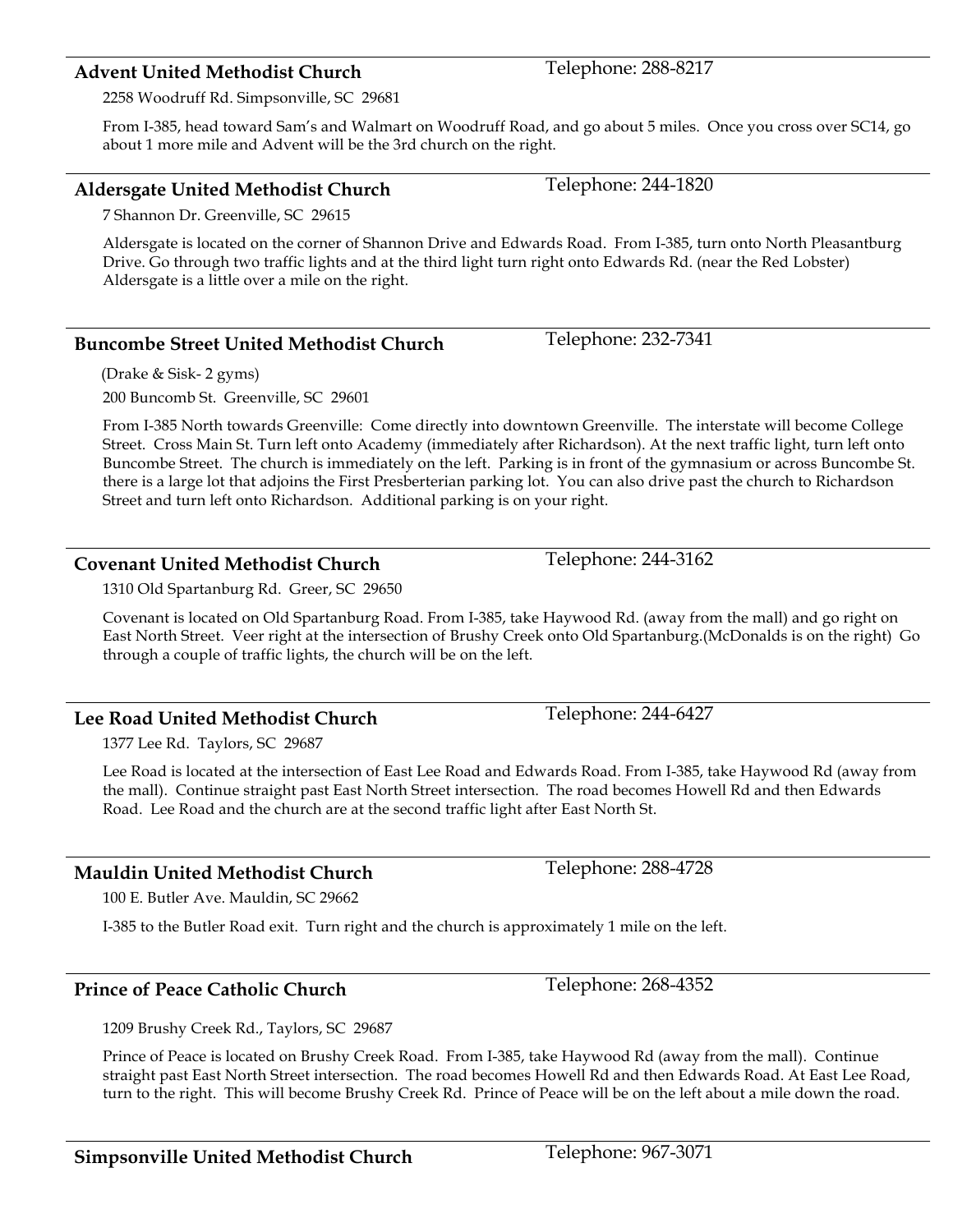### **Advent United Methodist Church** Telephone: 288-8217

2258 Woodruff Rd. Simpsonville, SC 29681

From I-385, head toward Sam's and Walmart on Woodruff Road, and go about 5 miles. Once you cross over SC14, go about 1 more mile and Advent will be the 3rd church on the right.

### **Aldersgate United Methodist Church** Telephone: 244-1820

7 Shannon Dr. Greenville, SC 29615

Aldersgate is located on the corner of Shannon Drive and Edwards Road. From I-385, turn onto North Pleasantburg Drive. Go through two traffic lights and at the third light turn right onto Edwards Rd. (near the Red Lobster) Aldersgate is a little over a mile on the right.

#### **Buncombe Street United Methodist Church**

(Drake & Sisk- 2 gyms)

200 Buncomb St. Greenville, SC 29601

From I-385 North towards Greenville: Come directly into downtown Greenville. The interstate will become College Street. Cross Main St. Turn left onto Academy (immediately after Richardson). At the next traffic light, turn left onto Buncombe Street. The church is immediately on the left. Parking is in front of the gymnasium or across Buncombe St. there is a large lot that adjoins the First Presberterian parking lot. You can also drive past the church to Richardson Street and turn left onto Richardson. Additional parking is on your right.

#### **Covenant United Methodist Church** Telephone: 244-3162

1310 Old Spartanburg Rd. Greer, SC 29650

Covenant is located on Old Spartanburg Road. From I-385, take Haywood Rd. (away from the mall) and go right on East North Street. Veer right at the intersection of Brushy Creek onto Old Spartanburg.(McDonalds is on the right) Go through a couple of traffic lights, the church will be on the left.

### **Lee Road United Methodist Church Telephone: 244-6427**

1377 Lee Rd. Taylors, SC 29687

Lee Road is located at the intersection of East Lee Road and Edwards Road. From I-385, take Haywood Rd (away from the mall). Continue straight past East North Street intersection. The road becomes Howell Rd and then Edwards Road. Lee Road and the church are at the second traffic light after East North St.

# **Mauldin United Methodist Church** Telephone: 288-4728

100 E. Butler Ave. Mauldin, SC 29662

I-385 to the Butler Road exit. Turn right and the church is approximately 1 mile on the left.

#### **Prince of Peace Catholic Church**  Telephone: 268-4352

1209 Brushy Creek Rd., Taylors, SC 29687

Prince of Peace is located on Brushy Creek Road. From I-385, take Haywood Rd (away from the mall). Continue straight past East North Street intersection. The road becomes Howell Rd and then Edwards Road. At East Lee Road, turn to the right. This will become Brushy Creek Rd. Prince of Peace will be on the left about a mile down the road.

Telephone: 232-7341